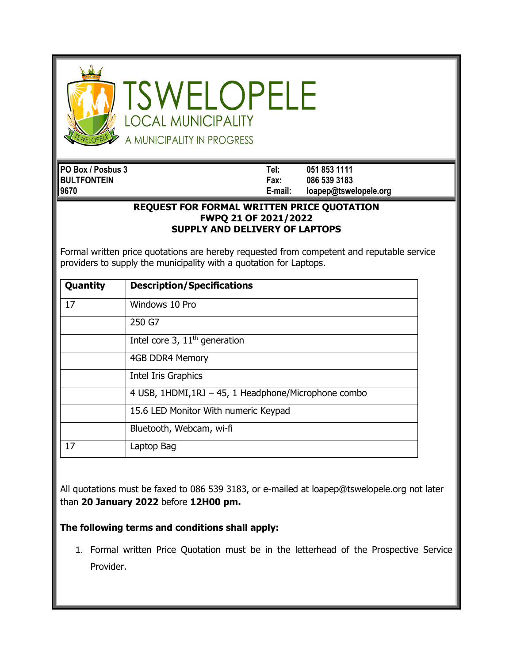

SWELOPELE **OCAL MUNICIPALITY** A MUNICIPALITY IN PROGRESS

**PO Box / Posbus 3 Tel: 051 853 1111 BULTFONTEIN Fax: 086 539 3183 9670 E-mail: loapep@tswelopele.org**

## **REQUEST FOR FORMAL WRITTEN PRICE QUOTATION FWPQ 21 OF 2021/2022 SUPPLY AND DELIVERY OF LAPTOPS**

Formal written price quotations are hereby requested from competent and reputable service providers to supply the municipality with a quotation for Laptops.

| Quantity | <b>Description/Specifications</b>                    |
|----------|------------------------------------------------------|
| 17       | Windows 10 Pro                                       |
|          | 250 G7                                               |
|          | Intel core 3, 11 <sup>th</sup> generation            |
|          | 4GB DDR4 Memory                                      |
|          | Intel Iris Graphics                                  |
|          | 4 USB, 1HDMI, 1RJ - 45, 1 Headphone/Microphone combo |
|          | 15.6 LED Monitor With numeric Keypad                 |
|          | Bluetooth, Webcam, wi-fi                             |
| 17       | Laptop Bag                                           |

All quotations must be faxed to 086 539 3183, or e-mailed at loapep@tswelopele.org not later than **20 January 2022** before **12H00 pm.**

## **The following terms and conditions shall apply:**

1. Formal written Price Quotation must be in the letterhead of the Prospective Service Provider.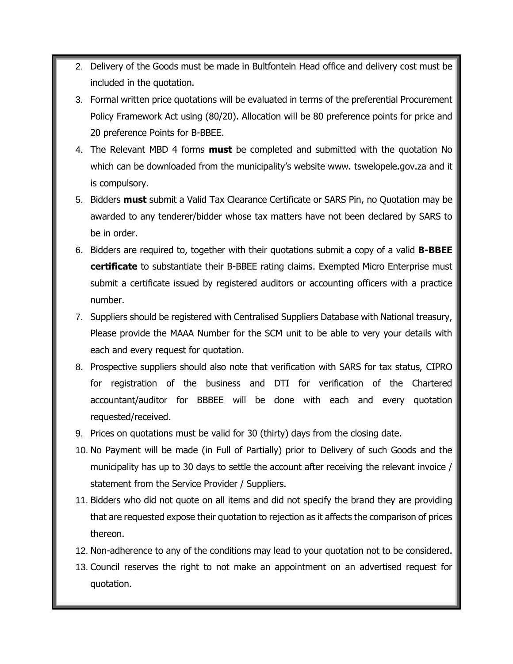- 2. Delivery of the Goods must be made in Bultfontein Head office and delivery cost must be included in the quotation.
- 3. Formal written price quotations will be evaluated in terms of the preferential Procurement Policy Framework Act using (80/20). Allocation will be 80 preference points for price and 20 preference Points for B-BBEE.
- 4. The Relevant MBD 4 forms **must** be completed and submitted with the quotation No which can be downloaded from the municipality's website www. tswelopele.gov.za and it is compulsory.
- 5. Bidders **must** submit a Valid Tax Clearance Certificate or SARS Pin, no Quotation may be awarded to any tenderer/bidder whose tax matters have not been declared by SARS to be in order.
- 6. Bidders are required to, together with their quotations submit a copy of a valid **B-BBEE certificate** to substantiate their B-BBEE rating claims. Exempted Micro Enterprise must submit a certificate issued by registered auditors or accounting officers with a practice number.
- 7. Suppliers should be registered with Centralised Suppliers Database with National treasury, Please provide the MAAA Number for the SCM unit to be able to very your details with each and every request for quotation.
- 8. Prospective suppliers should also note that verification with SARS for tax status, CIPRO for registration of the business and DTI for verification of the Chartered accountant/auditor for BBBEE will be done with each and every quotation requested/received.
- 9. Prices on quotations must be valid for 30 (thirty) days from the closing date.
- 10. No Payment will be made (in Full of Partially) prior to Delivery of such Goods and the municipality has up to 30 days to settle the account after receiving the relevant invoice / statement from the Service Provider / Suppliers.
- 11. Bidders who did not quote on all items and did not specify the brand they are providing that are requested expose their quotation to rejection as it affects the comparison of prices thereon.
- 12. Non-adherence to any of the conditions may lead to your quotation not to be considered.
- 13. Council reserves the right to not make an appointment on an advertised request for quotation.